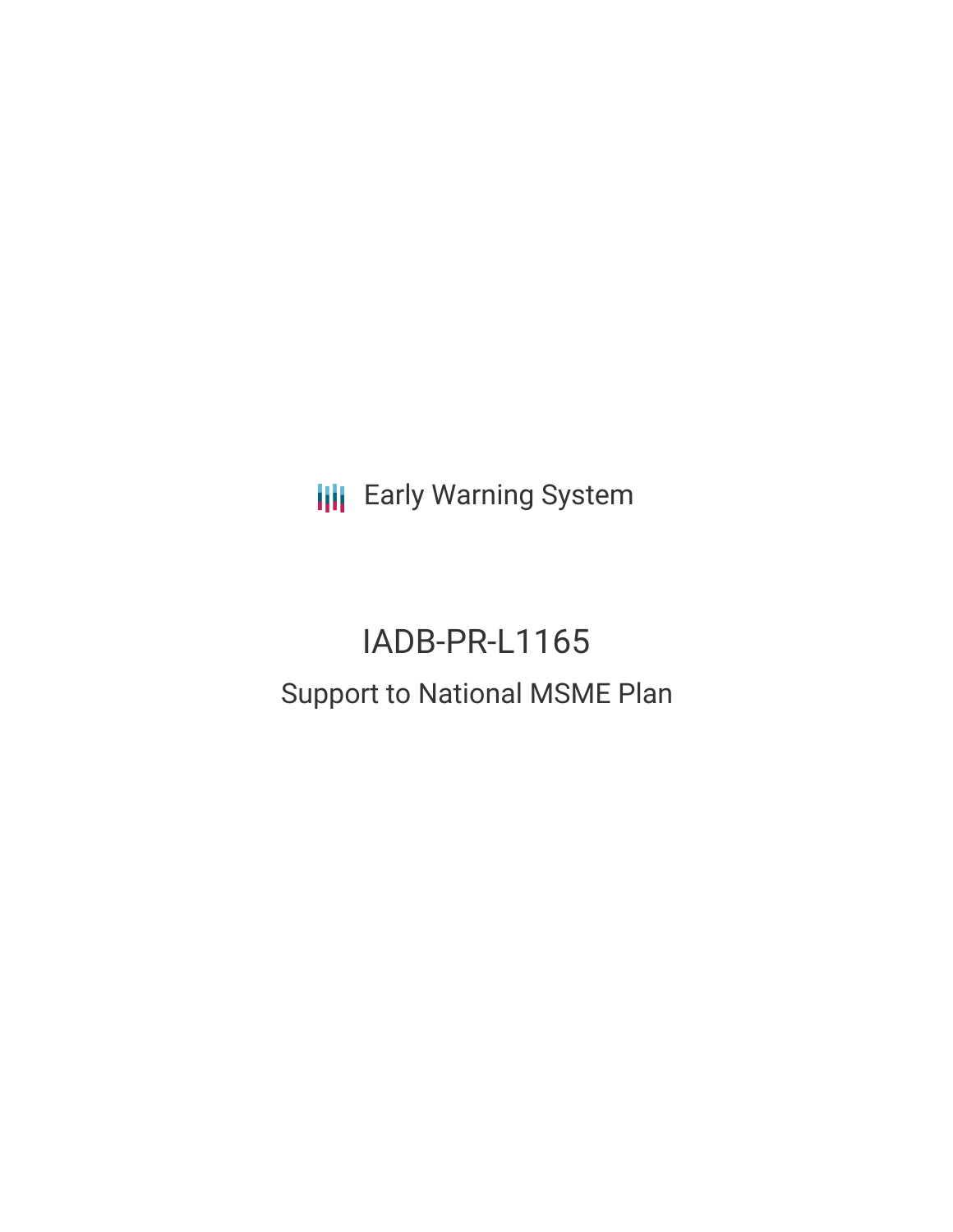**III** Early Warning System

# IADB-PR-L1165 Support to National MSME Plan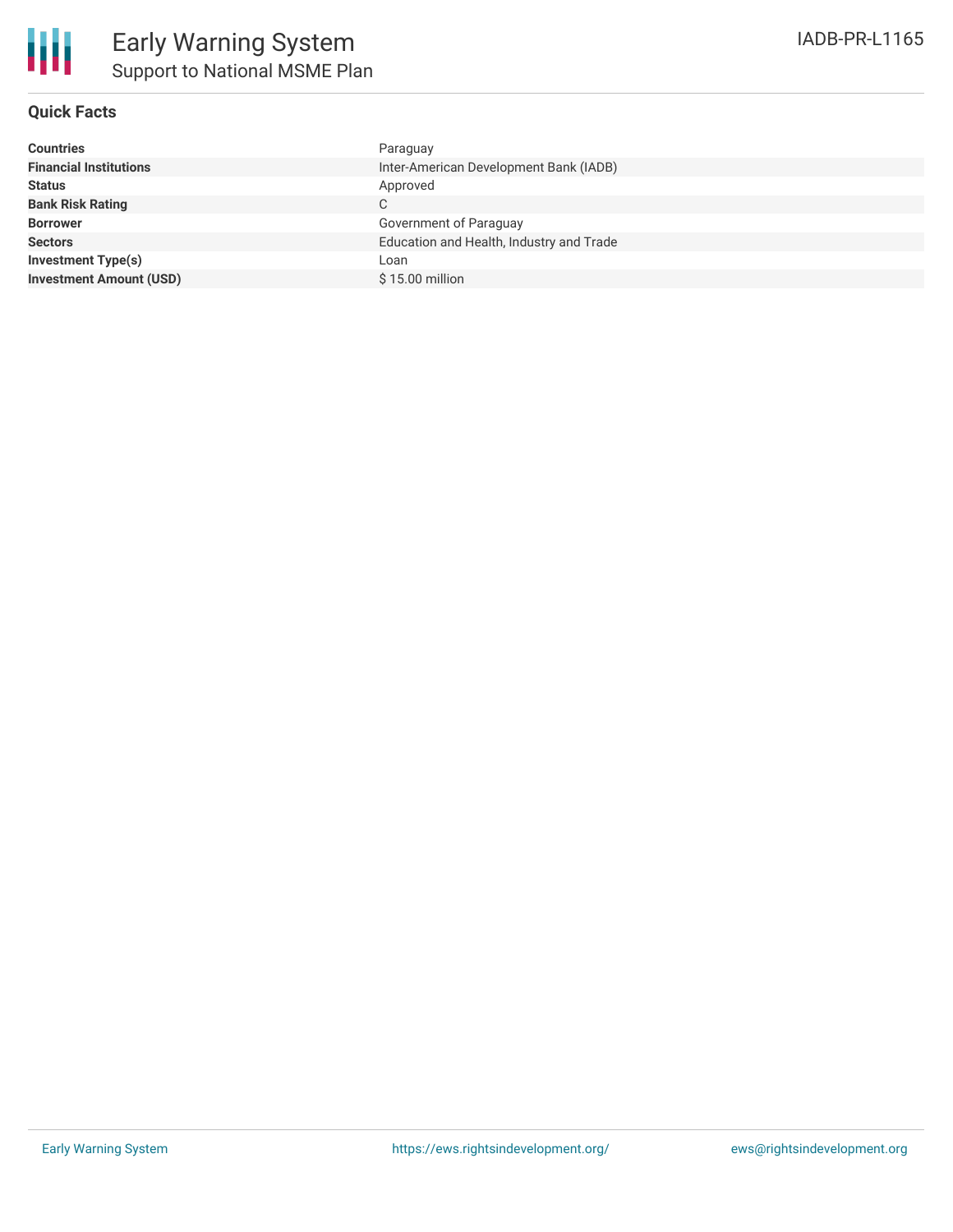# **Quick Facts**

| <b>Countries</b>               | Paraguay                                 |
|--------------------------------|------------------------------------------|
| <b>Financial Institutions</b>  | Inter-American Development Bank (IADB)   |
| <b>Status</b>                  | Approved                                 |
| <b>Bank Risk Rating</b>        | C                                        |
| <b>Borrower</b>                | Government of Paraguay                   |
| <b>Sectors</b>                 | Education and Health, Industry and Trade |
| <b>Investment Type(s)</b>      | Loan                                     |
| <b>Investment Amount (USD)</b> | \$15.00 million                          |
|                                |                                          |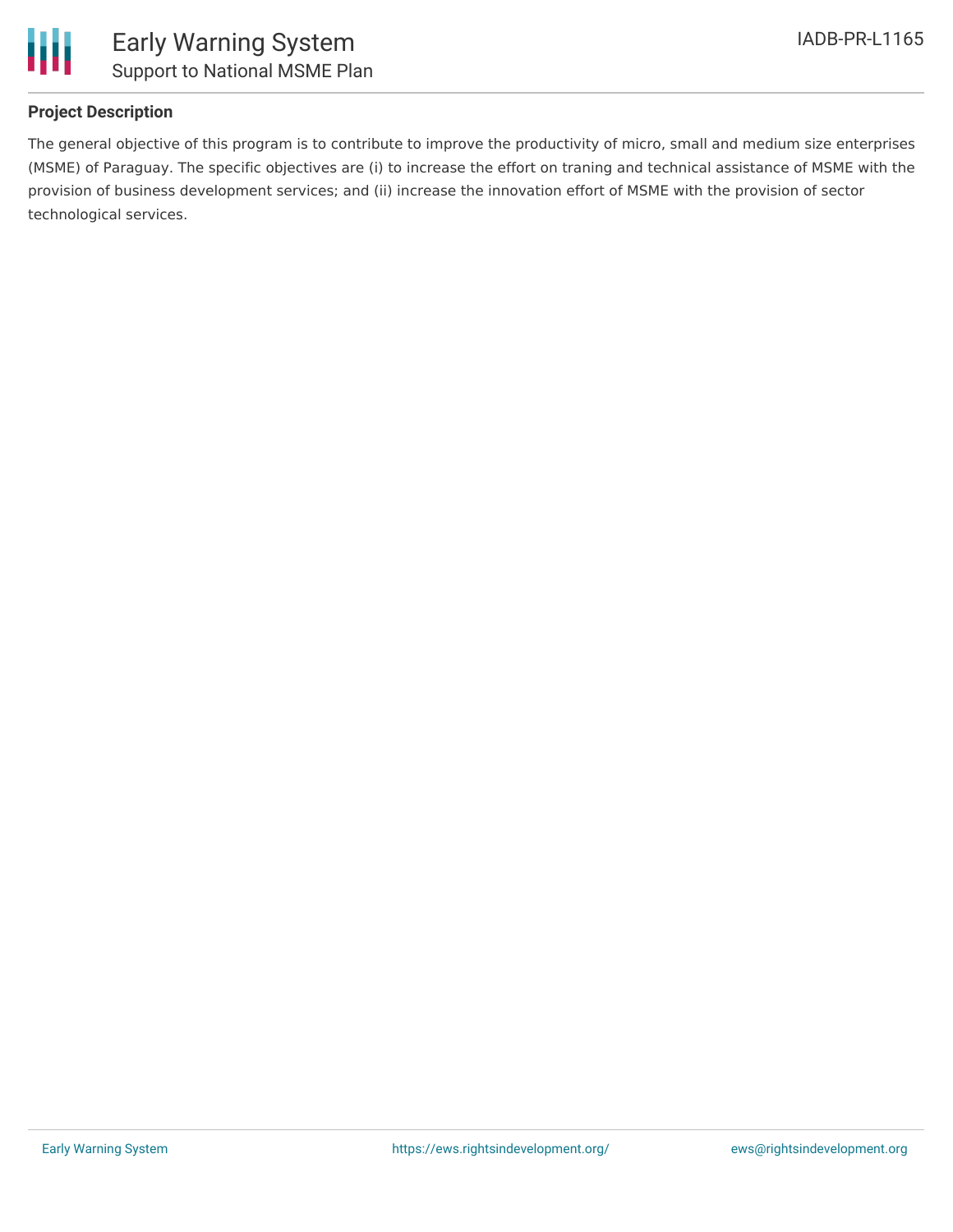

# **Project Description**

The general objective of this program is to contribute to improve the productivity of micro, small and medium size enterprises (MSME) of Paraguay. The specific objectives are (i) to increase the effort on traning and technical assistance of MSME with the provision of business development services; and (ii) increase the innovation effort of MSME with the provision of sector technological services.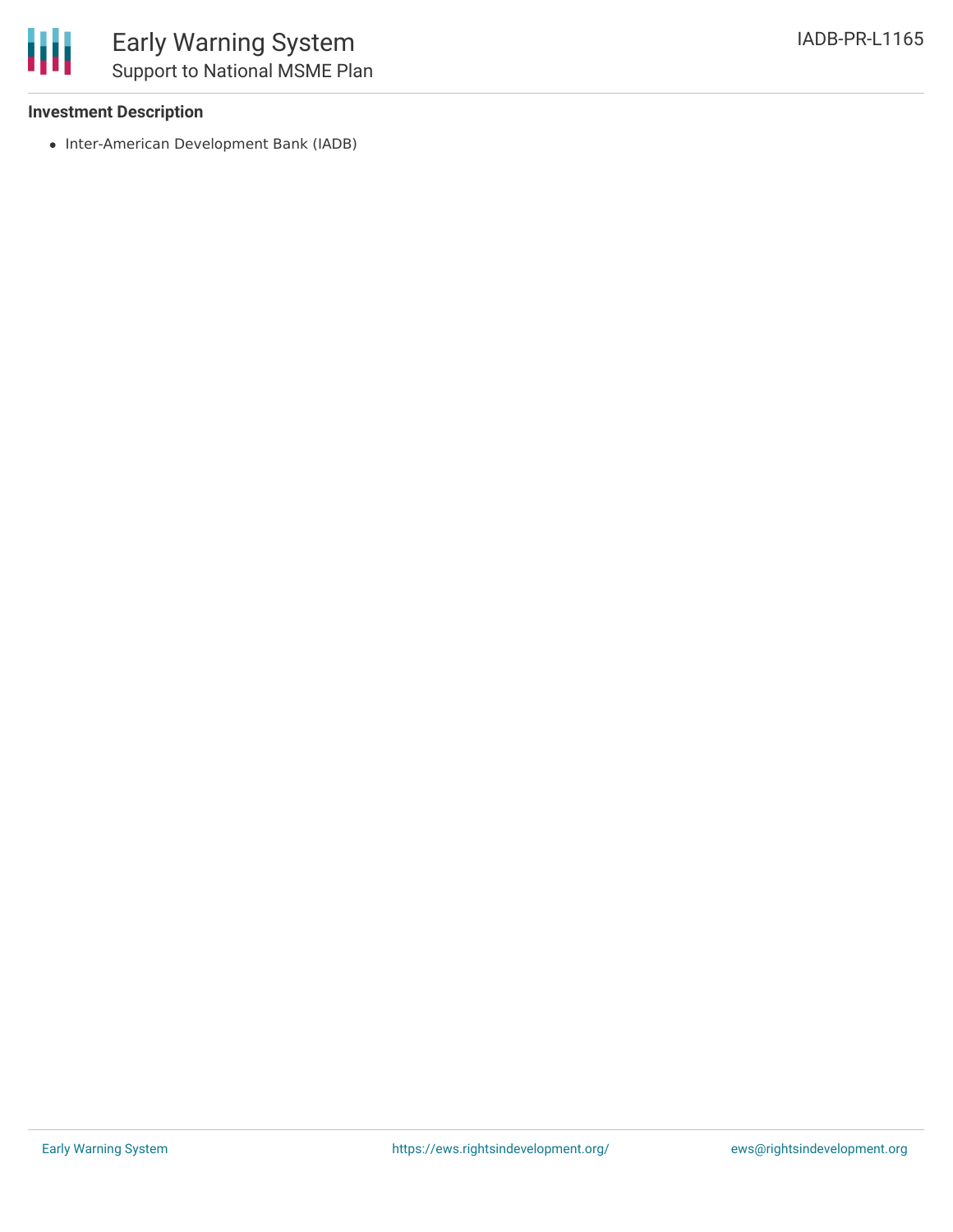## **Investment Description**

• Inter-American Development Bank (IADB)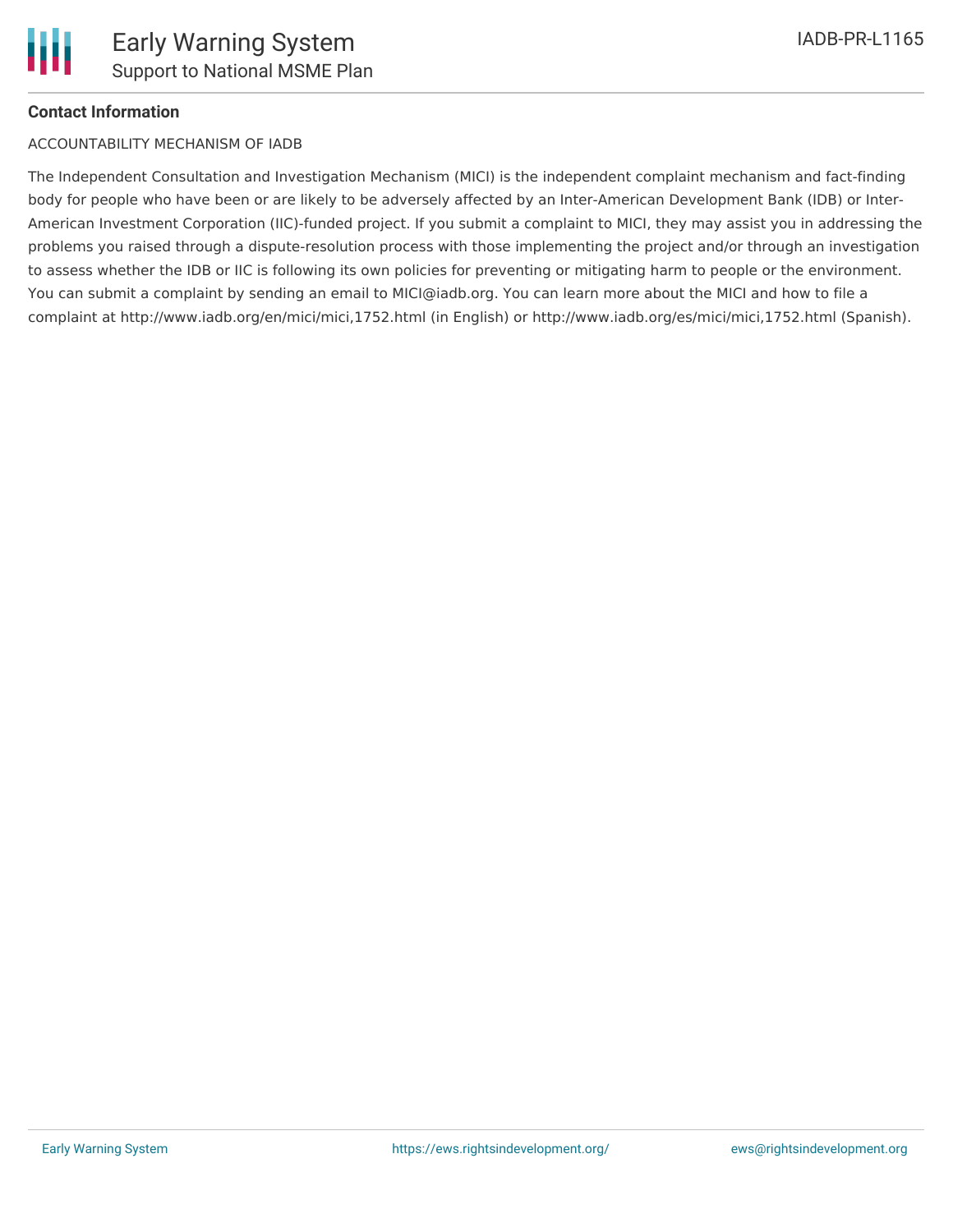# **Contact Information**

### ACCOUNTABILITY MECHANISM OF IADB

The Independent Consultation and Investigation Mechanism (MICI) is the independent complaint mechanism and fact-finding body for people who have been or are likely to be adversely affected by an Inter-American Development Bank (IDB) or Inter-American Investment Corporation (IIC)-funded project. If you submit a complaint to MICI, they may assist you in addressing the problems you raised through a dispute-resolution process with those implementing the project and/or through an investigation to assess whether the IDB or IIC is following its own policies for preventing or mitigating harm to people or the environment. You can submit a complaint by sending an email to MICI@iadb.org. You can learn more about the MICI and how to file a complaint at http://www.iadb.org/en/mici/mici,1752.html (in English) or http://www.iadb.org/es/mici/mici,1752.html (Spanish).